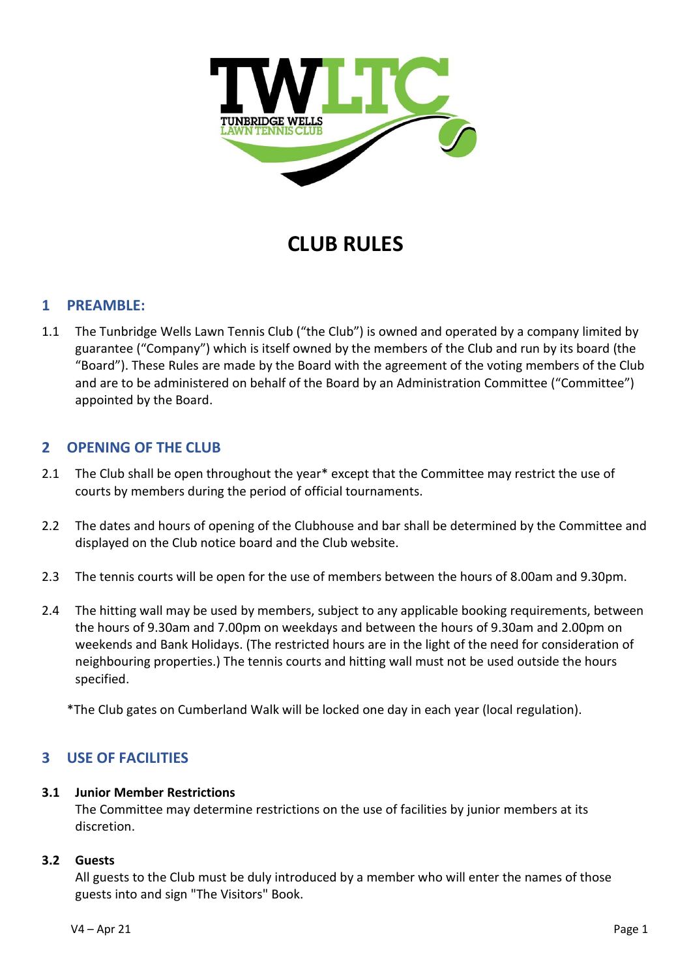

# **CLUB RULES**

## **1 PREAMBLE:**

1.1 The Tunbridge Wells Lawn Tennis Club ("the Club") is owned and operated by a company limited by guarantee ("Company") which is itself owned by the members of the Club and run by its board (the "Board"). These Rules are made by the Board with the agreement of the voting members of the Club and are to be administered on behalf of the Board by an Administration Committee ("Committee") appointed by the Board.

## **2 OPENING OF THE CLUB**

- 2.1 The Club shall be open throughout the year\* except that the Committee may restrict the use of courts by members during the period of official tournaments.
- 2.2 The dates and hours of opening of the Clubhouse and bar shall be determined by the Committee and displayed on the Club notice board and the Club website.
- 2.3 The tennis courts will be open for the use of members between the hours of 8.00am and 9.30pm.
- 2.4 The hitting wall may be used by members, subject to any applicable booking requirements, between the hours of 9.30am and 7.00pm on weekdays and between the hours of 9.30am and 2.00pm on weekends and Bank Holidays. (The restricted hours are in the light of the need for consideration of neighbouring properties.) The tennis courts and hitting wall must not be used outside the hours specified.

\*The Club gates on Cumberland Walk will be locked one day in each year (local regulation).

# **3 USE OF FACILITIES**

## **3.1 Junior Member Restrictions**

The Committee may determine restrictions on the use of facilities by junior members at its discretion.

## **3.2 Guests**

All guests to the Club must be duly introduced by a member who will enter the names of those guests into and sign "The Visitors" Book.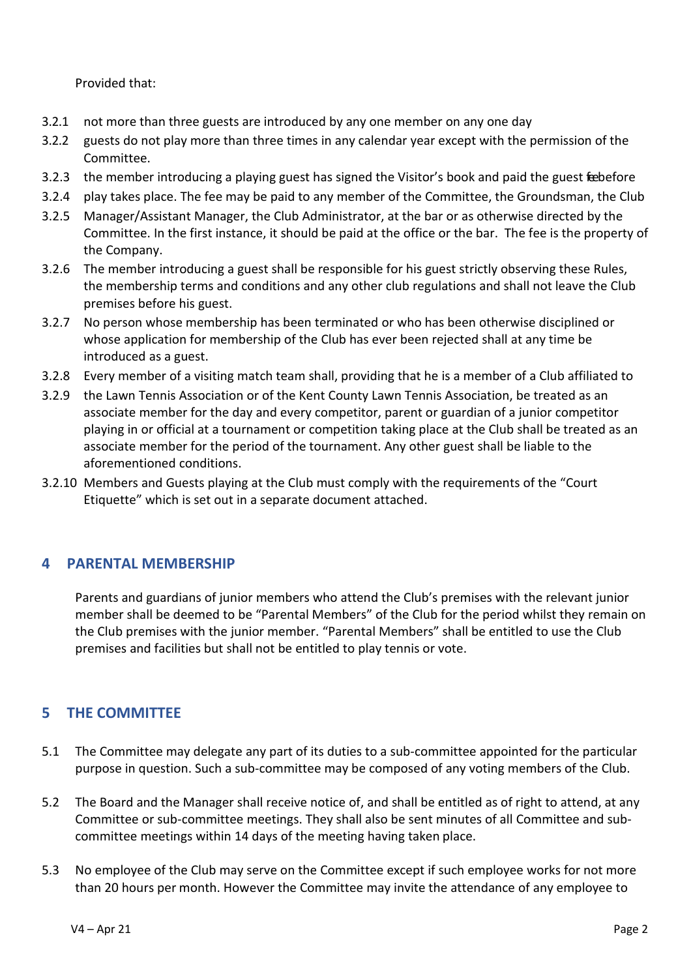Provided that:

- 3.2.1 not more than three guests are introduced by any one member on any one day
- 3.2.2 guests do not play more than three times in any calendar year except with the permission of the Committee.
- 3.2.3 the member introducing a playing guest has signed the Visitor's book and paid the guest feebefore
- 3.2.4 play takes place. The fee may be paid to any member of the Committee, the Groundsman, the Club
- 3.2.5 Manager/Assistant Manager, the Club Administrator, at the bar or as otherwise directed by the Committee. In the first instance, it should be paid at the office or the bar. The fee is the property of the Company.
- 3.2.6 The member introducing a guest shall be responsible for his guest strictly observing these Rules, the membership terms and conditions and any other club regulations and shall not leave the Club premises before his guest.
- 3.2.7 No person whose membership has been terminated or who has been otherwise disciplined or whose application for membership of the Club has ever been rejected shall at any time be introduced as a guest.
- 3.2.8 Every member of a visiting match team shall, providing that he is a member of a Club affiliated to
- 3.2.9 the Lawn Tennis Association or of the Kent County Lawn Tennis Association, be treated as an associate member for the day and every competitor, parent or guardian of a junior competitor playing in or official at a tournament or competition taking place at the Club shall be treated as an associate member for the period of the tournament. Any other guest shall be liable to the aforementioned conditions.
- 3.2.10 Members and Guests playing at the Club must comply with the requirements of the "Court Etiquette" which is set out in a separate document attached.

# **4 PARENTAL MEMBERSHIP**

Parents and guardians of junior members who attend the Club's premises with the relevant junior member shall be deemed to be "Parental Members" of the Club for the period whilst they remain on the Club premises with the junior member. "Parental Members" shall be entitled to use the Club premises and facilities but shall not be entitled to play tennis or vote.

# **5 THE COMMITTEE**

- 5.1 The Committee may delegate any part of its duties to a sub-committee appointed for the particular purpose in question. Such a sub-committee may be composed of any voting members of the Club.
- 5.2 The Board and the Manager shall receive notice of, and shall be entitled as of right to attend, at any Committee or sub-committee meetings. They shall also be sent minutes of all Committee and subcommittee meetings within 14 days of the meeting having taken place.
- 5.3 No employee of the Club may serve on the Committee except if such employee works for not more than 20 hours per month. However the Committee may invite the attendance of any employee to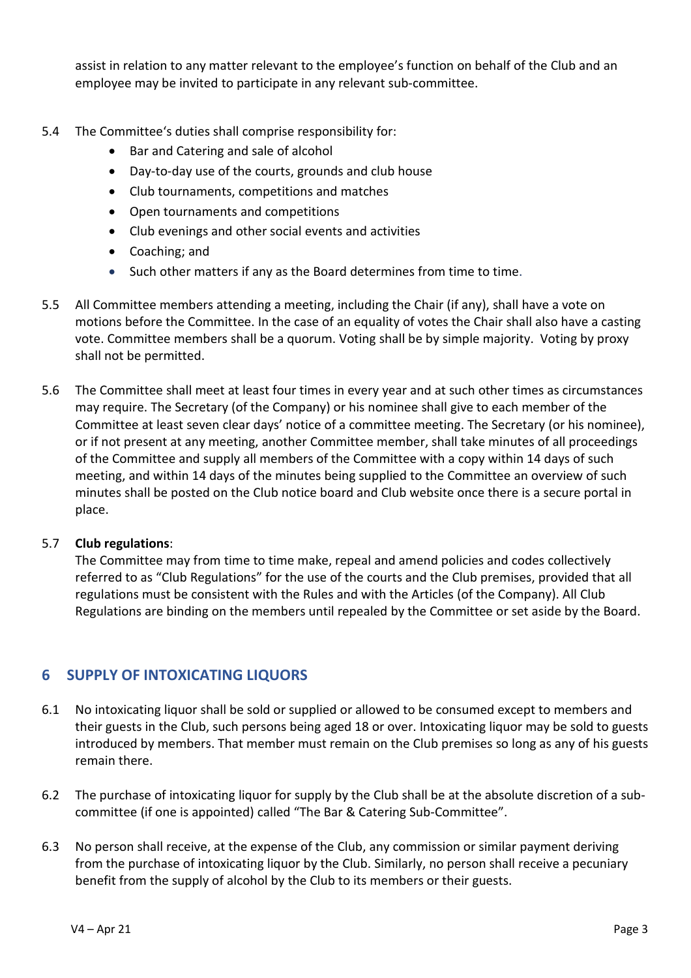assist in relation to any matter relevant to the employee's function on behalf of the Club and an employee may be invited to participate in any relevant sub-committee.

- 5.4 The Committee's duties shall comprise responsibility for:
	- Bar and Catering and sale of alcohol
	- Day-to-day use of the courts, grounds and club house
	- Club tournaments, competitions and matches
	- Open tournaments and competitions
	- Club evenings and other social events and activities
	- Coaching; and
	- Such other matters if any as the Board determines from time to time.
- 5.5 All Committee members attending a meeting, including the Chair (if any), shall have a vote on motions before the Committee. In the case of an equality of votes the Chair shall also have a casting vote. Committee members shall be a quorum. Voting shall be by simple majority. Voting by proxy shall not be permitted.
- 5.6 The Committee shall meet at least four times in every year and at such other times as circumstances may require. The Secretary (of the Company) or his nominee shall give to each member of the Committee at least seven clear days' notice of a committee meeting. The Secretary (or his nominee), or if not present at any meeting, another Committee member, shall take minutes of all proceedings of the Committee and supply all members of the Committee with a copy within 14 days of such meeting, and within 14 days of the minutes being supplied to the Committee an overview of such minutes shall be posted on the Club notice board and Club website once there is a secure portal in place.

## 5.7 **Club regulations**:

The Committee may from time to time make, repeal and amend policies and codes collectively referred to as "Club Regulations" for the use of the courts and the Club premises, provided that all regulations must be consistent with the Rules and with the Articles (of the Company). All Club Regulations are binding on the members until repealed by the Committee or set aside by the Board.

# **6 SUPPLY OF INTOXICATING LIQUORS**

- 6.1 No intoxicating liquor shall be sold or supplied or allowed to be consumed except to members and their guests in the Club, such persons being aged 18 or over. Intoxicating liquor may be sold to guests introduced by members. That member must remain on the Club premises so long as any of his guests remain there.
- 6.2 The purchase of intoxicating liquor for supply by the Club shall be at the absolute discretion of a subcommittee (if one is appointed) called "The Bar & Catering Sub-Committee".
- 6.3 No person shall receive, at the expense of the Club, any commission or similar payment deriving from the purchase of intoxicating liquor by the Club. Similarly, no person shall receive a pecuniary benefit from the supply of alcohol by the Club to its members or their guests.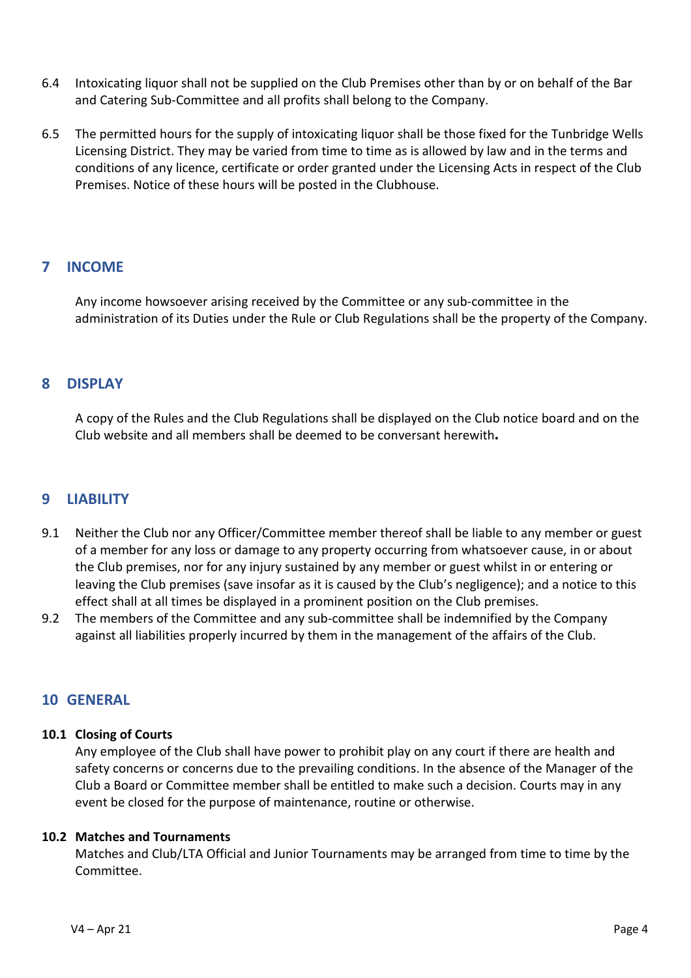- 6.4 Intoxicating liquor shall not be supplied on the Club Premises other than by or on behalf of the Bar and Catering Sub-Committee and all profits shall belong to the Company.
- 6.5 The permitted hours for the supply of intoxicating liquor shall be those fixed for the Tunbridge Wells Licensing District. They may be varied from time to time as is allowed by law and in the terms and conditions of any licence, certificate or order granted under the Licensing Acts in respect of the Club Premises. Notice of these hours will be posted in the Clubhouse.

# **7 INCOME**

Any income howsoever arising received by the Committee or any sub-committee in the administration of its Duties under the Rule or Club Regulations shall be the property of the Company.

## **8 DISPLAY**

A copy of the Rules and the Club Regulations shall be displayed on the Club notice board and on the Club website and all members shall be deemed to be conversant herewith**.**

## **9 LIABILITY**

- 9.1 Neither the Club nor any Officer/Committee member thereof shall be liable to any member or guest of a member for any loss or damage to any property occurring from whatsoever cause, in or about the Club premises, nor for any injury sustained by any member or guest whilst in or entering or leaving the Club premises (save insofar as it is caused by the Club's negligence); and a notice to this effect shall at all times be displayed in a prominent position on the Club premises.
- 9.2 The members of the Committee and any sub-committee shall be indemnified by the Company against all liabilities properly incurred by them in the management of the affairs of the Club.

## **10 GENERAL**

## **10.1 Closing of Courts**

Any employee of the Club shall have power to prohibit play on any court if there are health and safety concerns or concerns due to the prevailing conditions. In the absence of the Manager of the Club a Board or Committee member shall be entitled to make such a decision. Courts may in any event be closed for the purpose of maintenance, routine or otherwise.

## **10.2 Matches and Tournaments**

Matches and Club/LTA Official and Junior Tournaments may be arranged from time to time by the Committee.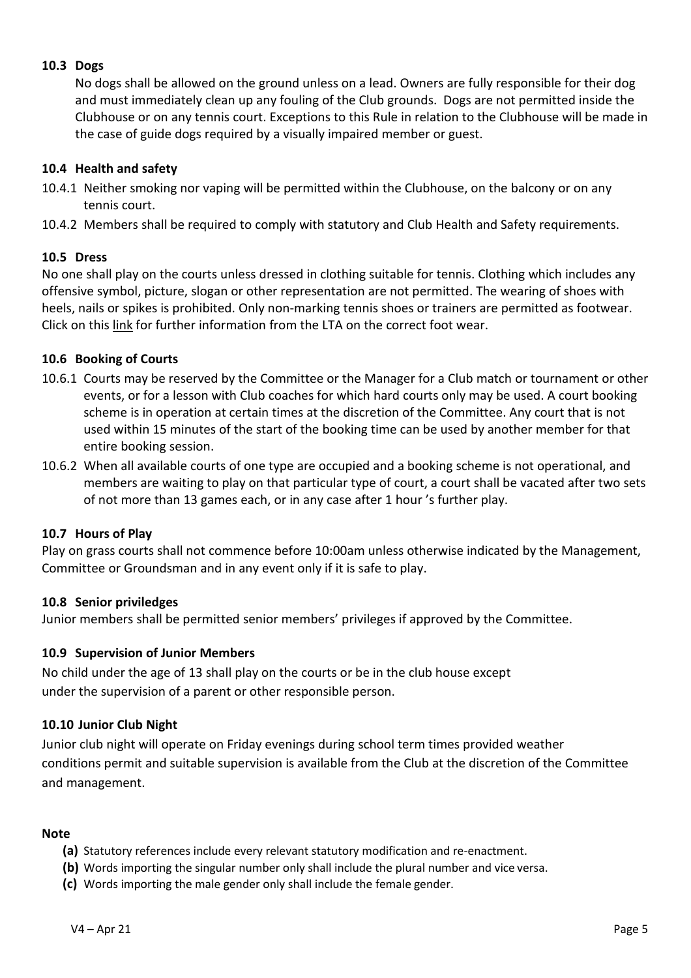## **10.3 Dogs**

No dogs shall be allowed on the ground unless on a lead. Owners are fully responsible for their dog and must immediately clean up any fouling of the Club grounds. Dogs are not permitted inside the Clubhouse or on any tennis court. Exceptions to this Rule in relation to the Clubhouse will be made in the case of guide dogs required by a visually impaired member or guest.

## **10.4 Health and safety**

- 10.4.1 Neither smoking nor vaping will be permitted within the Clubhouse, on the balcony or on any tennis court.
- 10.4.2 Members shall be required to comply with statutory and Club Health and Safety requirements.

## **10.5 Dress**

No one shall play on the courts unless dressed in clothing suitable for tennis. Clothing which includes any offensive symbol, picture, slogan or other representation are not permitted. The wearing of shoes with heels, nails or spikes is prohibited. Only non-marking tennis shoes or trainers are permitted as footwear. Click on this [link](https://www.lta.org.uk/play-compete/getting-started/tennis-kit-guide/the-shoes) for further information from the LTA on the correct foot wear.

## **10.6 Booking of Courts**

- 10.6.1 Courts may be reserved by the Committee or the Manager for a Club match or tournament or other events, or for a lesson with Club coaches for which hard courts only may be used. A court booking scheme is in operation at certain times at the discretion of the Committee. Any court that is not used within 15 minutes of the start of the booking time can be used by another member for that entire booking session.
- 10.6.2 When all available courts of one type are occupied and a booking scheme is not operational, and members are waiting to play on that particular type of court, a court shall be vacated after two sets of not more than 13 games each, or in any case after 1 hour 's further play.

## **10.7 Hours of Play**

Play on grass courts shall not commence before 10:00am unless otherwise indicated by the Management, Committee or Groundsman and in any event only if it is safe to play.

## **10.8 Senior priviledges**

Junior members shall be permitted senior members' privileges if approved by the Committee.

## **10.9 Supervision of Junior Members**

No child under the age of 13 shall play on the courts or be in the club house except under the supervision of a parent or other responsible person.

## **10.10 Junior Club Night**

Junior club night will operate on Friday evenings during school term times provided weather conditions permit and suitable supervision is available from the Club at the discretion of the Committee and management.

## **Note**

- **(a)** Statutory references include every relevant statutory modification and re-enactment.
- **(b)** Words importing the singular number only shall include the plural number and vice versa.
- **(c)** Words importing the male gender only shall include the female gender.